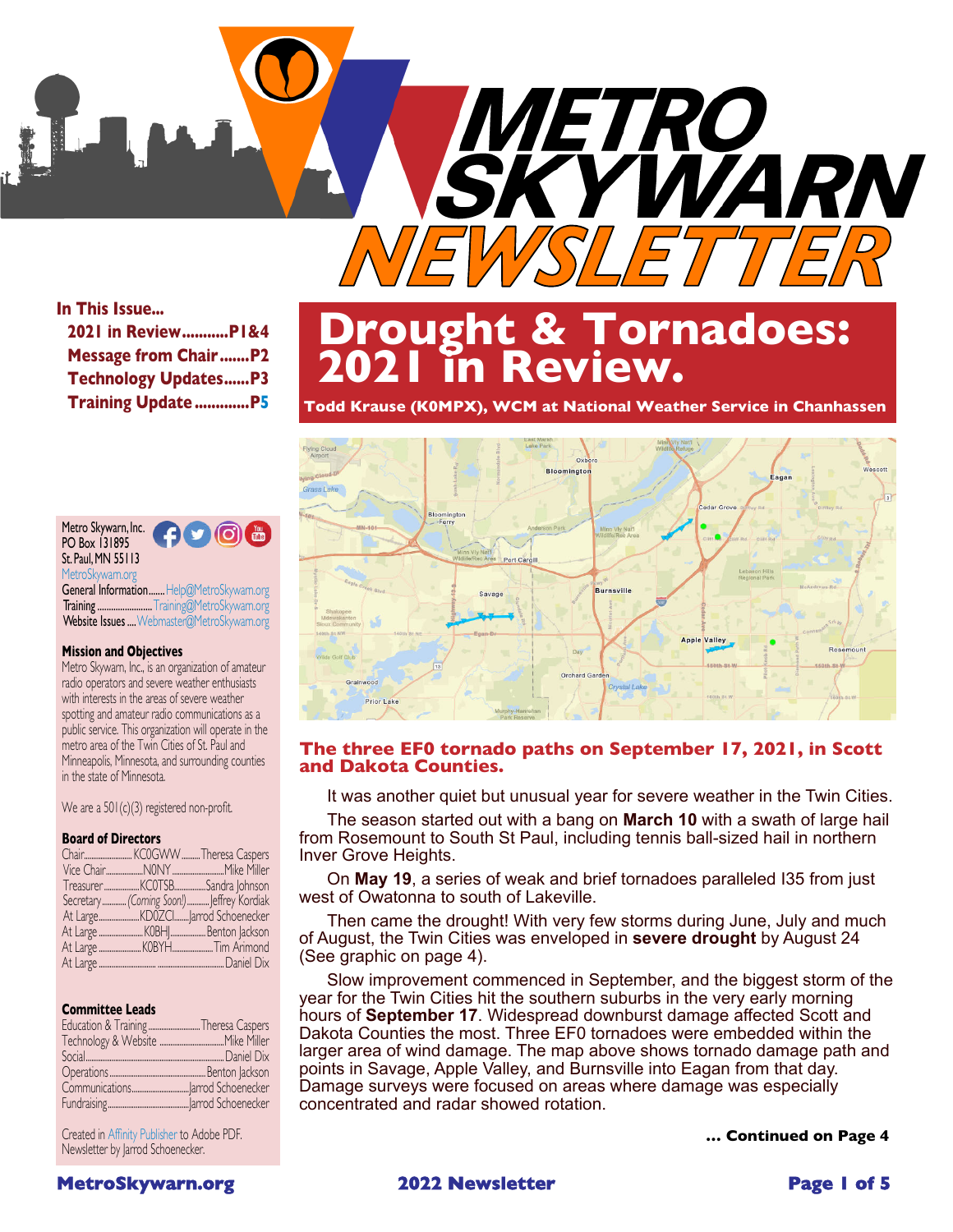

## **In This Issue...**

| 2021 in ReviewPI&4          |
|-----------------------------|
| <b>Message from ChairP2</b> |
| <b>Technology UpdatesP3</b> |
| <b>Training Update P5</b>   |

### Metro Skywarn, Inc.  $J(0)$ PO Box 131895 St. Paul,MN 55113 [MetroSkywarn.org](http://www.metroskywarn.org) General Information....... [Help@MetroSkywarn.org](mailto:help@metroskywarn.org)

Training .............................[Training@MetroSkywarn.org](mailto:training@metroskywarn.org) Website Issues .... [Webmaster@MetroSkywarn.org](mailto:webmaster@metroskywarn.org)

### **Mission and Objectives**

Metro Skywarn, Inc., is an organization of amateur radio operators and severe weather enthusiasts with interests in the areas of severe weather spotting and amateur radio communications as a public service. This organization will operate in the metro area of the Twin Cities of St. Paul and Minneapolis, Minnesota, and surrounding counties in the state of Minnesota.

We are a 501(c)(3) registered non-profit.

### **Board of Directors**

|  | Secretary  (Coming Soon!)  Jeffrey Kordiak |
|--|--------------------------------------------|
|  |                                            |
|  |                                            |
|  |                                            |
|  |                                            |
|  |                                            |

### **Committee Leads**

| Education & Training Theresa Caspers |  |
|--------------------------------------|--|
|                                      |  |
|                                      |  |
|                                      |  |
|                                      |  |
|                                      |  |

Created in [Affinity Publisher](https://affinity.serif.com/en-us/publisher/) to Adobe PDF. Newsletter by Jarrod Schoenecker.

# **Drought & Tornadoes: 2021 in Review.**

**Todd Krause (K0MPX), WCM at National Weather Service in Chanhassen**



## **The three EF0 tornado paths on September 17, 2021, in Scott and Dakota Counties.**

It was another quiet but unusual year for severe weather in the Twin Cities.

The season started out with a bang on **[March 10](https://www.dnr.state.mn.us/climate/journal/hailstones-and-heavy-snow-march-10-11-2021.html)** with a swath of large hail from Rosemount to South St Paul, including tennis ball-sized hail in northern Inver Grove Heights.

On **[May 19](https://www.weather.gov/mpx/19May2021SevereWeather)**, a series of weak and brief tornadoes paralleled I35 from just west of Owatonna to south of Lakeville.

Then came the drought! With very few storms during June, July and much of August, the Twin Cities was enveloped in **[severe drought](https://www.dnr.state.mn.us/climate/journal/drought-2021.html)** by August 24 (See graphic on page 4).

Slow improvement commenced in September, and the biggest storm of the year for the Twin Cities hit the southern suburbs in the very early morning hours of **[September 17](https://www.weather.gov/mpx/September_17_2021_Preliminary_Survey_Results)**. Widespread downburst damage affected Scott and Dakota Counties the most. Three EF0 tornadoes were embedded within the larger area of wind damage. The map above shows tornado damage path and points in Savage, Apple Valley, and Burnsville into Eagan from that day. Damage surveys were focused on areas where damage was especially concentrated and radar showed rotation.

**… Continued on Page 4**



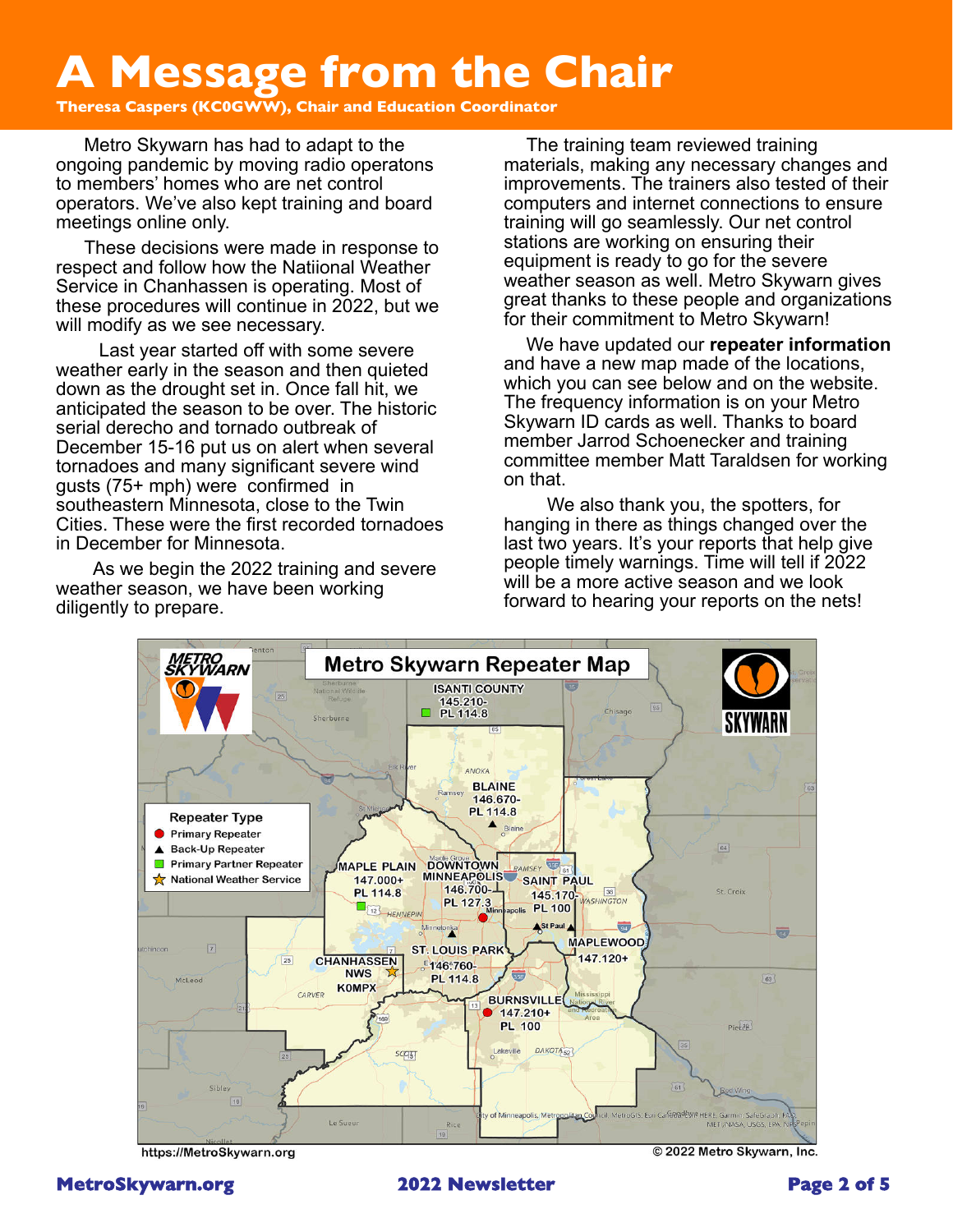# <span id="page-1-0"></span>**A Message from the Chair**

**Theresa Caspers (KC0GWW), Chair and Education Coordinator**

Metro Skywarn has had to adapt to the ongoing pandemic by moving radio operatons to members' homes who are net control operators. We've also kept training and board meetings online only.

These decisions were made in response to respect and follow how the Natiional Weather Service in Chanhassen is operating. Most of these procedures will continue in 2022, but we will modify as we see necessary.

Last year started off with some severe weather early in the season and then quieted down as the drought set in. Once fall hit, we anticipated the season to be over. The historic serial derecho and tornado outbreak of December 15-16 put us on alert when several tornadoes and many significant severe wind gusts (75+ mph) were confirmed in southeastern Minnesota, close to the Twin Cities. These were the first recorded tornadoes in December for Minnesota.

As we begin the 2022 training and severe weather season, we have been working diligently to prepare.

The training team reviewed training materials, making any necessary changes and improvements. The trainers also tested of their computers and internet connections to ensure training will go seamlessly. Our net control stations are working on ensuring their equipment is ready to go for the severe weather season as well. Metro Skywarn gives great thanks to these people and organizations for their commitment to Metro Skywarn!

We have updated our **[repeater information](https://metroskywarn.org/amateur-radio/)** and have a new map made of the locations, which you can see below and on the website. The frequency information is on your Metro Skywarn ID cards as well. Thanks to board member Jarrod Schoenecker and training committee member Matt Taraldsen for working on that.

We also thank you, the spotters, for hanging in there as things changed over the last two years. It's your reports that help give people timely warnings. Time will tell if 2022 will be a more active season and we look forward to hearing your reports on the nets!



https://MetroSkywarn.org



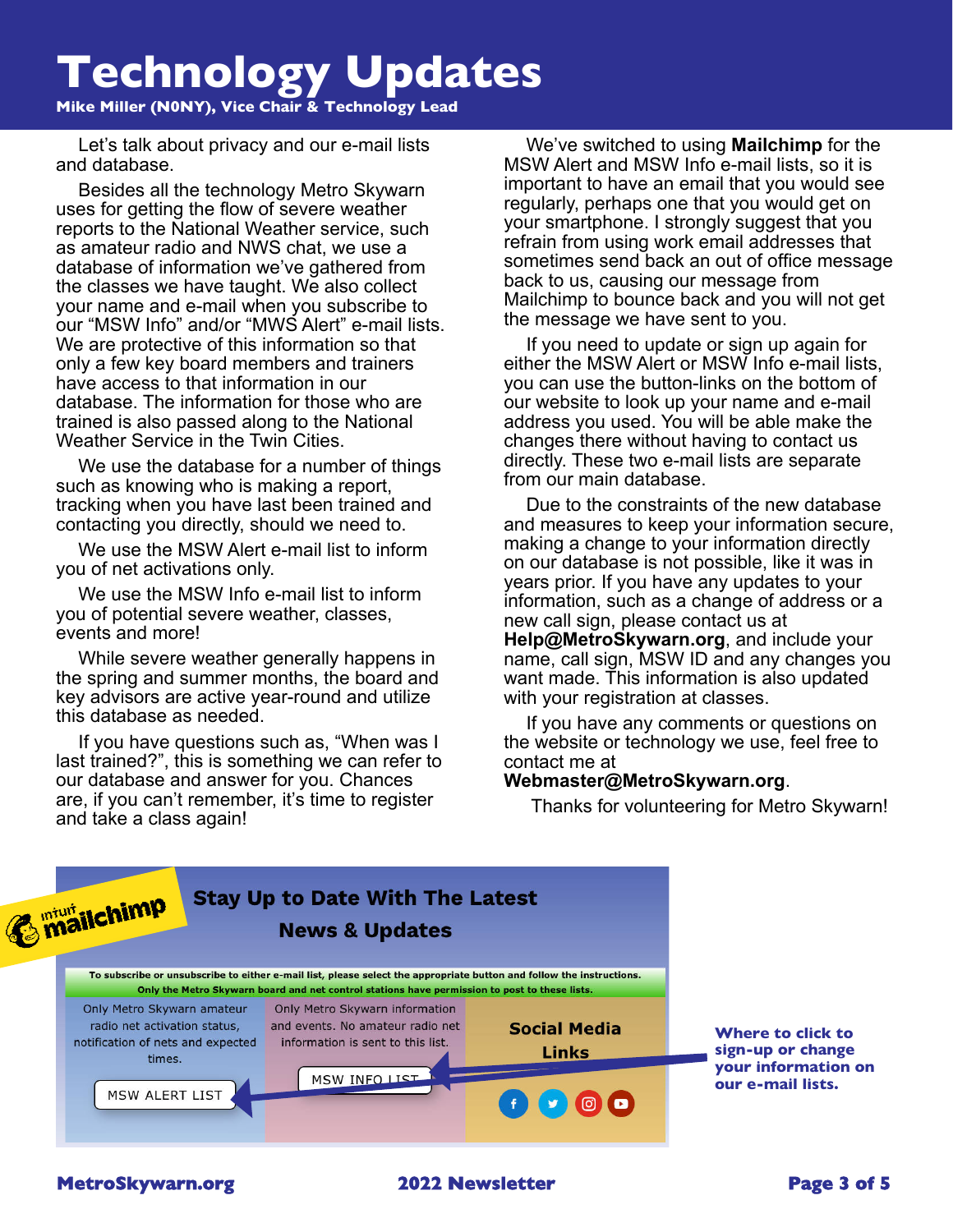# <span id="page-2-0"></span>**Technology Updates**

**Mike Miller (N0NY), Vice Chair & Technology Lead**

Let's talk about privacy and our e-mail lists and database.

Besides all the technology Metro Skywarn uses for getting the flow of severe weather reports to the National Weather service, such as amateur radio and NWS chat, we use a database of information we've gathered from the classes we have taught. We also collect your name and e-mail when you subscribe to our "MSW Info" and/or "MWS Alert" e-mail lists. We are protective of this information so that only a few key board members and trainers have access to that information in our database. The information for those who are trained is also passed along to the National Weather Service in the Twin Cities.

We use the database for a number of things such as knowing who is making a report, tracking when you have last been trained and contacting you directly, should we need to.

We use the MSW Alert e-mail list to inform you of net activations only.

We use the MSW Info e-mail list to inform you of potential severe weather, classes, events and more!

While severe weather generally happens in the spring and summer months, the board and key advisors are active year-round and utilize this database as needed.

If you have questions such as, "When was I last trained?", this is something we can refer to our database and answer for you. Chances are, if you can't remember, it's time to register and take a class again!

We've switched to using **[Mailchimp](https://mailchimp.com/)** for the MSW Alert and MSW Info e-mail lists, so it is important to have an email that you would see regularly, perhaps one that you would get on your smartphone. I strongly suggest that you refrain from using work email addresses that sometimes send back an out of office message back to us, causing our message from Mailchimp to bounce back and you will not get the message we have sent to you.

If you need to update or sign up again for either the MSW Alert or MSW Info e-mail lists, you can use the button-links on the bottom of our website to look up your name and e-mail address you used. You will be able make the changes there without having to contact us directly. These two e-mail lists are separate from our main database.

Due to the constraints of the new database and measures to keep your information secure, making a change to your information directly on our database is not possible, like it was in years prior. If you have any updates to your information, such as a change of address or a new call sign, please contact us at **[Help@MetroSkywarn.org](mailto:help@metroskywarn.org)**, and include your name, call sign, MSW ID and any changes you want made. This information is also updated with your registration at classes.

If you have any comments or questions on the website or technology we use, feel free to contact me at

## **[Webmaster@MetroSkywarn.org](mailto:Webmaster@MetroSkywarn.org)**.

Thanks for volunteering for Metro Skywarn!

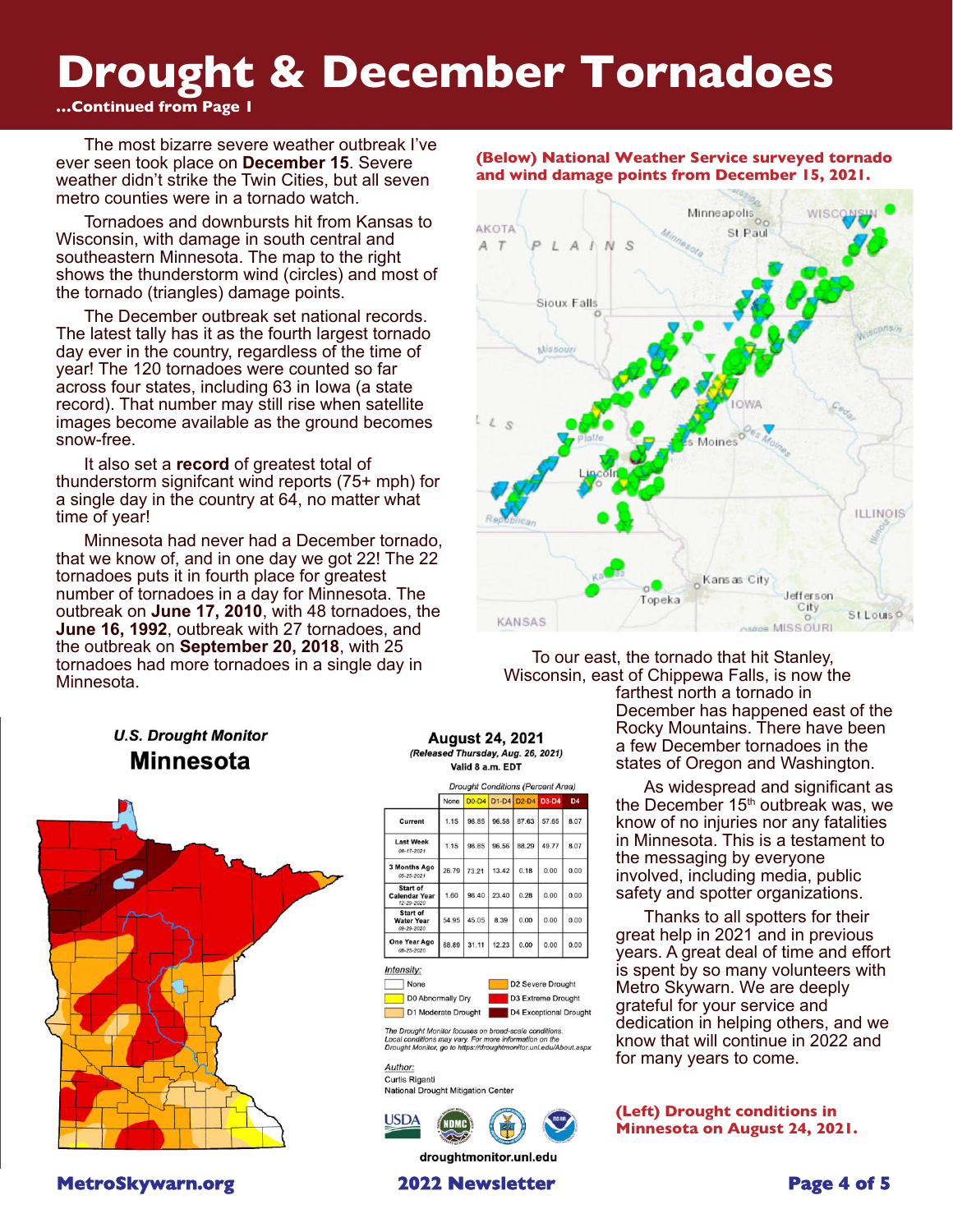# **Drought & December Tornadoes**

## **…Continued from Page 1**

The most bizarre severe weather outbreak I've ever seen took place on **[December 15](https://www.weather.gov/mpx/HistoricStormDecember2021)**. Severe weather didn't strike the Twin Cities, but all seven metro counties were in a tornado watch.

Tornadoes and downbursts hit from Kansas to Wisconsin, with damage in south central and southeastern Minnesota. The map to the right shows the thunderstorm wind (circles) and most of the tornado (triangles) damage points.

The December outbreak set national records. The latest tally has it as the fourth largest tornado day ever in the country, regardless of the time of year! The 120 tornadoes were counted so far across four states, including 63 in Iowa (a state record). That number may still rise when satellite images become available as the ground becomes snow-free.

It also set a **[record](https://twitter.com/nwsspc/status/1471333229537873924?lang=en)** of greatest total of thunderstorm signifcant wind reports (75+ mph) for a single day in the country at 64, no matter what time of year!

Minnesota had never had a December tornado, that we know of, and in one day we got 22! The 22 tornadoes puts it in fourth place for greatest number of tornadoes in a day for Minnesota. The outbreak on **[June 17, 2010](https://www.weather.gov/mpx/June172010Outbreak)**, with 48 tornadoes, the **[June 16, 1992](https://en.wikipedia.org/wiki/Tornado_outbreak_of_June_14%E2%80%9318,_1992)**, outbreak with 27 tornadoes, and the outbreak on **[September 20, 2018](https://www.weather.gov/mpx/20180920_Severe_Weather)**, with 25 tornadoes had more tornadoes in a single day in Minnesota.

## **U.S. Drought Monitor Minnesota**



**[MetroSkywarn.org](http://www.metroskywarn.org)** 2022 Newsletter 2022 Newsletter 2022 Newsletter 2022 Newsletter 2022 Newsletter 2022 Newsletter 2022 Newsletter 2022 Newsletter 2022 Newsletter 2022 Newsletter 2022 Newsletter 2022 Newsletter 2022 Newsle

## **August 24, 2021** (Released Thursday, Aug. 26, 2021)

Valid 8 a.m. EDT

|                                                    |       |         |       |             | <b>Drought Conditions (Percent Area)</b> |                |
|----------------------------------------------------|-------|---------|-------|-------------|------------------------------------------|----------------|
|                                                    | None  | $D0-D4$ |       | D1-D4 D2-D4 | D3-D4                                    | D <sub>4</sub> |
| Current                                            | 1.15  | 98.85   | 96.58 | 87.63       | 57.65                                    | 8.07           |
| <b>Last Week</b><br>08-17-2021                     | 1.15  | 98.85   | 96.56 | 88.29       | 49.77                                    | 8.07           |
| 3 Months Ago<br>05-25-2021                         | 26.79 | 73.21   | 13.42 | 0.18        | 0.00                                     | 0.00           |
| Start of<br><b>Calendar Year</b><br>12-29-2020     | 1.60  | 98.40   | 23.40 | 0.28        | 0.00                                     | 0.00           |
| <b>Start of</b><br><b>Water Year</b><br>09-29-2020 | 54.95 | 45.05   | 8.39  | 0.00        | 0.00                                     | 0.00           |
| One Year Ago<br>08-25-2020                         | 68.89 | 31.11   | 12.23 | 0.00        | 0.00                                     | 0.00           |

Intensity:



D<sub>2</sub> Severe Drought D3 Extreme Drought D1 Moderate Drought D4 Exceptional Drought

The Drought Monitor focuses on broad-scale conditions.<br>Local conditions may vary. For more information on the<br>Drought Monitor, go to https://droughtmonitor.unl.edu/About.aspx

Author: Curtis Riganti National Drought Mitigation Center



droughtmonitor.unl.edu

### **(Below) National Weather Service surveyed tornado and wind damage points from December 15, 2021.**



To our east, the tornado that hit Stanley, Wisconsin, east of Chippewa Falls, is now the farthest north a tornado in December has happened east of the

Rocky Mountains. There have been a few December tornadoes in the states of Oregon and Washington.

As widespread and significant as the December  $15<sup>th</sup>$  outbreak was, we know of no injuries nor any fatalities in Minnesota. This is a testament to the messaging by everyone involved, including media, public safety and spotter organizations.

Thanks to all spotters for their great help in 2021 and in previous years. A great deal of time and effort is spent by so many volunteers with Metro Skywarn. We are deeply grateful for your service and dedication in helping others, and we know that will continue in 2022 and for many years to come.

**(Left) Drought conditions in Minnesota on August 24, 2021.**